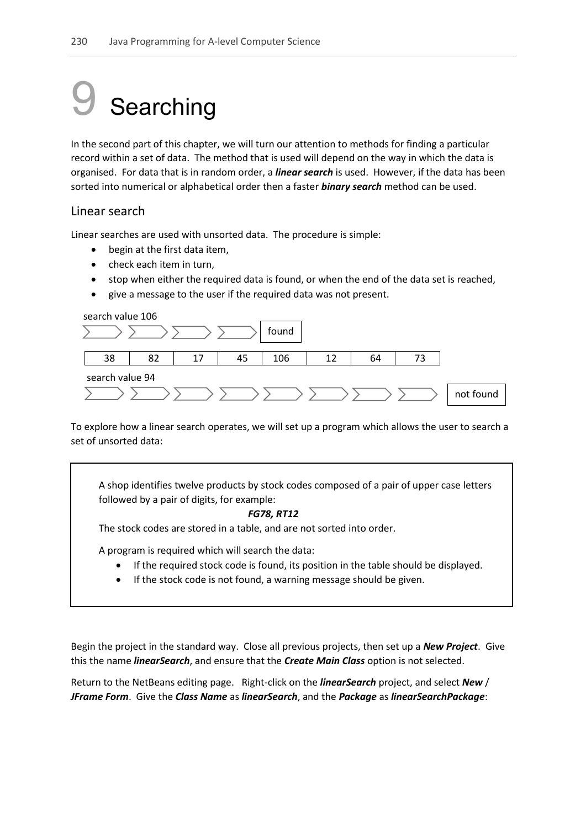# Searching

In the second part of this chapter, we will turn our attention to methods for finding a particular record within a set of data. The method that is used will depend on the way in which the data is organised. For data that is in random order, a *linear search* is used. However, if the data has been sorted into numerical or alphabetical order then a faster *binary search* method can be used.

# Linear search

Linear searches are used with unsorted data. The procedure is simple:

- begin at the first data item,
- check each item in turn.
- stop when either the required data is found, or when the end of the data set is reached,
- give a message to the user if the required data was not present.

### search value 106

|                 |    |    |    | found |  |    |  |           |  |  |
|-----------------|----|----|----|-------|--|----|--|-----------|--|--|
| 38              | 82 | 17 | 45 | 106   |  | 64 |  |           |  |  |
| search value 94 |    |    |    |       |  |    |  |           |  |  |
|                 |    |    |    |       |  |    |  | not found |  |  |

To explore how a linear search operates, we will set up a program which allows the user to search a set of unsorted data:

A shop identifies twelve products by stock codes composed of a pair of upper case letters followed by a pair of digits, for example:

#### *FG78, RT12*

The stock codes are stored in a table, and are not sorted into order.

A program is required which will search the data:

- If the required stock code is found, its position in the table should be displayed.
- If the stock code is not found, a warning message should be given.

Begin the project in the standard way. Close all previous projects, then set up a *New Project*. Give this the name *linearSearch*, and ensure that the *Create Main Class* option is not selected.

Return to the NetBeans editing page. Right-click on the *linearSearch* project, and select *New* / *JFrame Form*. Give the *Class Name* as *linearSearch*, and the *Package* as *linearSearchPackage*: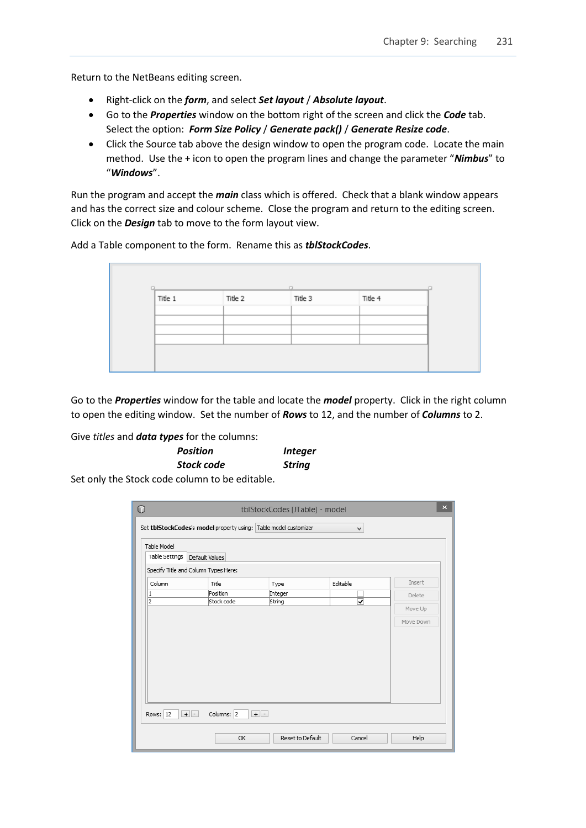Return to the NetBeans editing screen.

- Right-click on the *form*, and select *Set layout* / *Absolute layout*.
- Go to the *Properties* window on the bottom right of the screen and click the *Code* tab. Select the option: *Form Size Policy* / *Generate pack()* / *Generate Resize code*.
- Click the Source tab above the design window to open the program code. Locate the main method. Use the + icon to open the program lines and change the parameter "*Nimbus*" to "*Windows*".

Run the program and accept the *main* class which is offered. Check that a blank window appears and has the correct size and colour scheme. Close the program and return to the editing screen. Click on the *Design* tab to move to the form layout view.

Add a Table component to the form. Rename this as *tblStockCodes*.

|         |         | $\Box$  |         |  |
|---------|---------|---------|---------|--|
| Title 1 | Title 2 | Title 3 | Title 4 |  |
|         |         |         |         |  |
|         |         |         |         |  |
|         |         |         |         |  |
|         |         |         |         |  |

Go to the *Properties* window for the table and locate the *model* property. Click in the right column to open the editing window. Set the number of *Rows* to 12, and the number of *Columns* to 2.

Give *titles* and *data types* for the columns:

| <b>Position</b>                             | <i><b>Integer</b></i> |  |  |
|---------------------------------------------|-----------------------|--|--|
| <b>Stock code</b>                           | <b>String</b>         |  |  |
| at anlutha Staak sada salumn ta ba aditabla |                       |  |  |

Set only the Stock code column to be editable.

| Table Model<br>Table Settings | Set tblStockCodes's model property using: Table model customizer<br>Default Values |                             | v                                   |                                          |
|-------------------------------|------------------------------------------------------------------------------------|-----------------------------|-------------------------------------|------------------------------------------|
| Column<br>1<br>$\overline{2}$ | Specify Title and Column Types Here:<br>Title<br>Position<br>Stock code            | Type<br>Integer<br>String   | Editable<br>$\overline{\mathbf{v}}$ | Insert<br>Delete<br>Move Up<br>Move Down |
| Rows: $ 12 $                  | Columns: 2<br>$+$ $-$<br>OK                                                        | $+$ $-$<br>Reset to Default | Cancel                              | Help                                     |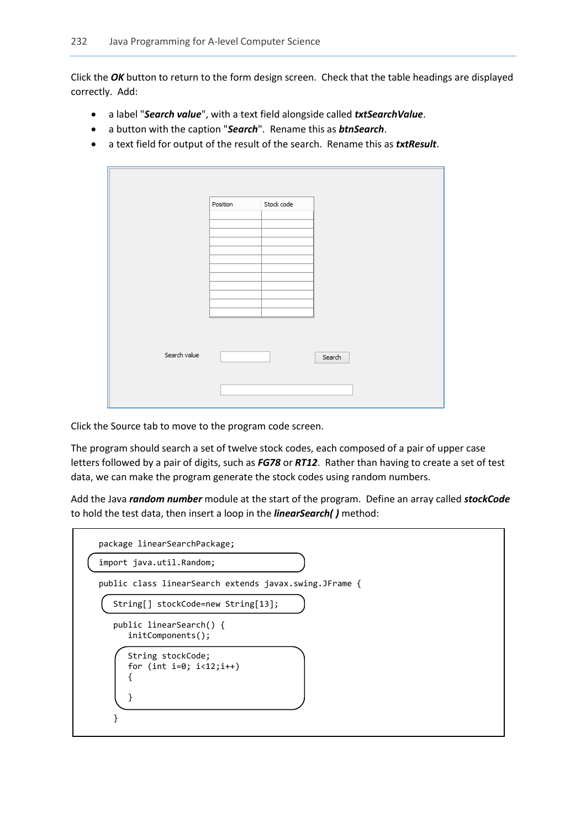Click the *OK* button to return to the form design screen. Check that the table headings are displayed correctly. Add:

- a label "*Search value*", with a text field alongside called *txtSearchValue*.
- a button with the caption "*Search*". Rename this as *btnSearch*.
- a text field for output of the result of the search. Rename this as *txtResult*.

|              | Position | Stock code |        |
|--------------|----------|------------|--------|
|              |          |            |        |
|              |          |            |        |
|              |          |            |        |
|              |          |            |        |
|              |          |            |        |
|              |          |            |        |
| Search value |          |            | Search |
|              |          |            |        |
|              |          |            |        |

Click the Source tab to move to the program code screen.

The program should search a set of twelve stock codes, each composed of a pair of upper case letters followed by a pair of digits, such as *FG78* or *RT12*. Rather than having to create a set of test data, we can make the program generate the stock codes using random numbers.

Add the Java *random number* module at the start of the program. Define an array called *stockCode*  to hold the test data, then insert a loop in the *linearSearch( )* method:

| package linearSearchPackage;                           |  |
|--------------------------------------------------------|--|
| import java.util.Random;                               |  |
| public class linearSearch extends javax.swing.JFrame { |  |
| String[] stockCode=new String[13];                     |  |
| public linearSearch() {<br>initComponents();           |  |
| String stockCode;<br>for (int i=0; $i < 12; i++)$      |  |
|                                                        |  |
|                                                        |  |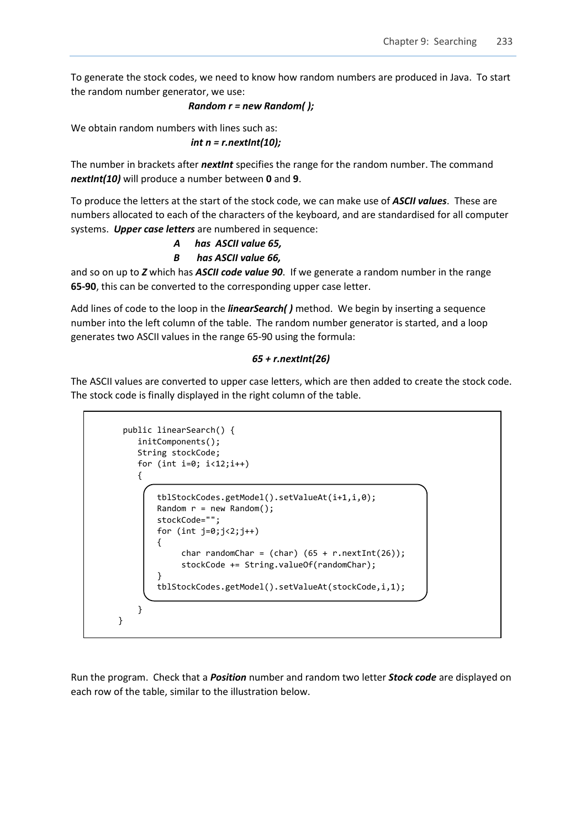To generate the stock codes, we need to know how random numbers are produced in Java. To start the random number generator, we use:

# *Random r = new Random( );*

We obtain random numbers with lines such as:

$$
int n = r.next Int(10);
$$

The number in brackets after *nextInt* specifies the range for the random number. The command *nextInt(10)* will produce a number between **0** and **9**.

To produce the letters at the start of the stock code, we can make use of *ASCII values*. These are numbers allocated to each of the characters of the keyboard, and are standardised for all computer systems. *Upper case letters* are numbered in sequence:

 *A has ASCII value 65,*

 *B has ASCII value 66,*

and so on up to *Z* which has *ASCII code value 90*. If we generate a random number in the range **65-90**, this can be converted to the corresponding upper case letter.

Add lines of code to the loop in the *linearSearch( )* method. We begin by inserting a sequence number into the left column of the table. The random number generator is started, and a loop generates two ASCII values in the range 65-90 using the formula:

# *65 + r.nextInt(26)*

The ASCII values are converted to upper case letters, which are then added to create the stock code. The stock code is finally displayed in the right column of the table.

```
 public linearSearch() {
        initComponents();
        String stockCode;
       for (int i=0; i<12;i++)
\overline{\mathcal{L}} tblStockCodes.getModel().setValueAt(i+1,i,0); 
            Random r = new Random();
             stockCode="";
            for (int j=0; j<2; j++)\vert {
                 char randomChar = (char) (65 + r.nextInt(26)); stockCode += String.valueOf(randomChar);
 }
             tblStockCodes.getModel().setValueAt(stockCode,i,1);
        }
    }
```
Run the program. Check that a *Position* number and random two letter *Stock code* are displayed on each row of the table, similar to the illustration below.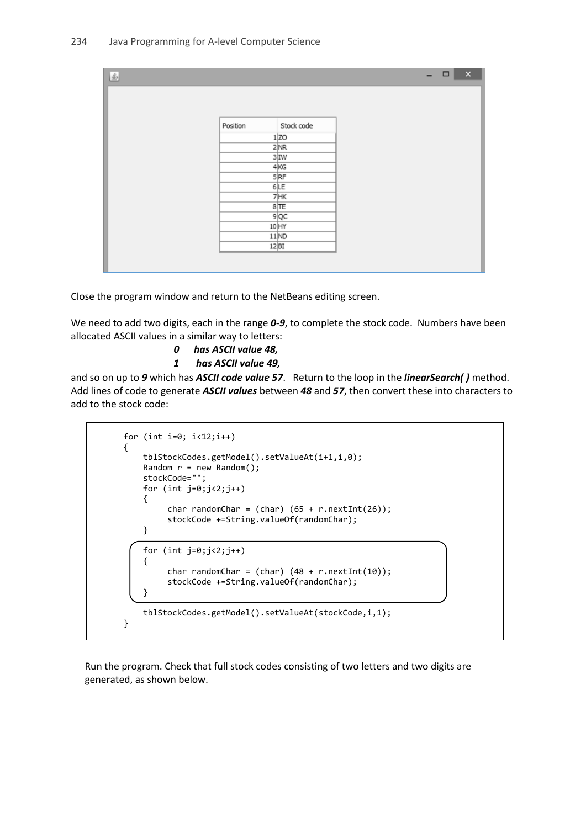| $\frac{\mathcal{L}}{2}$ |          |                   | $\Box$ x<br>- |
|-------------------------|----------|-------------------|---------------|
|                         |          |                   |               |
|                         |          |                   |               |
|                         |          |                   |               |
|                         | Position | Stock code        |               |
|                         |          | 1 ZO              |               |
|                         |          | 2NR               |               |
|                         |          | 3 IW              |               |
|                         |          | $4$ <sub>KG</sub> |               |
|                         |          | $5$ <sub>RF</sub> |               |
|                         |          | 6 LE              |               |
|                         |          | $7$ HK            |               |
|                         |          | 8TE               |               |
|                         |          | $9$ <sub>QC</sub> |               |
|                         |          | 10 HY             |               |
|                         |          | 11ND              |               |
|                         |          | 12 BI             |               |
|                         |          |                   |               |

Close the program window and return to the NetBeans editing screen.

We need to add two digits, each in the range *0-9*, to complete the stock code. Numbers have been allocated ASCII values in a similar way to letters:

- *0 has ASCII value 48,*
- *1 has ASCII value 49,*

and so on up to *9* which has *ASCII code value 57*. Return to the loop in the *linearSearch( )* method. Add lines of code to generate *ASCII values* between *48* and *57*, then convert these into characters to add to the stock code:

```
for (int i=0; i<12;i++) {
              tblStockCodes.getModel().setValueAt(i+1,i,0); 
             Random r = new Random();
              stockCode="";
             for (int j=0; j<2; j++)\begin{array}{ccc} \end{array}char randomChar = (char) (65 + r.nextInt(26)); stockCode +=String.valueOf(randomChar);
\begin{array}{ccc} \end{array}for (int j=0; j<2; j++) {
                  char randomChar = (char) (48 + r.nextInt(10)); stockCode +=String.valueOf(randomChar);
\begin{array}{ccc} \end{array} tblStockCodes.getModel().setValueAt(stockCode,i,1);
         }
```
L

L

Run the program. Check that full stock codes consisting of two letters and two digits are generated, as shown below.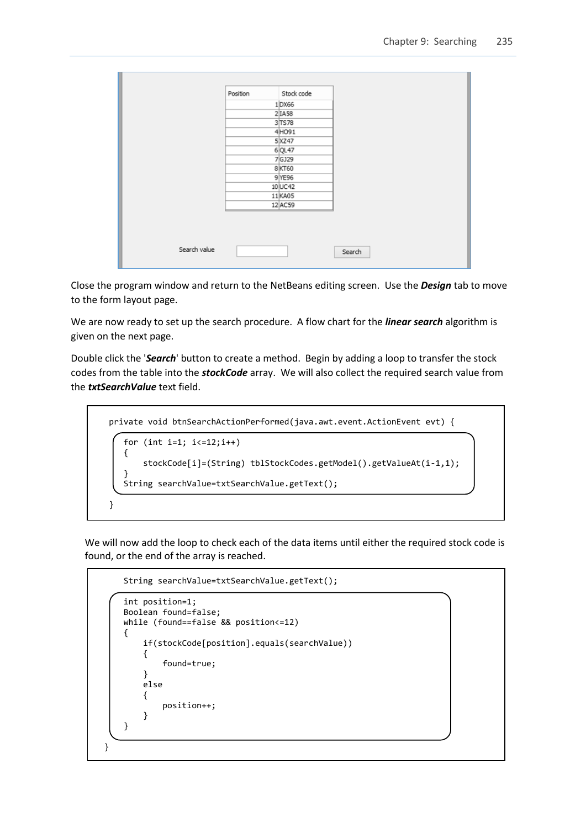|  | Position | Stock code |  |
|--|----------|------------|--|
|  |          | $1$ DX66   |  |
|  |          | 2 IAS8     |  |
|  |          | 3 TS78     |  |
|  |          | 4HO91      |  |
|  |          | 5 XZ47     |  |
|  |          | 6 QL47     |  |
|  |          | 7GJ29      |  |
|  |          | 8 KT60     |  |
|  |          | 9 YE96     |  |
|  |          | 10 UC42    |  |
|  |          | 11 KA05    |  |
|  |          | 12 AC59    |  |

Close the program window and return to the NetBeans editing screen. Use the *Design* tab to move to the form layout page.

We are now ready to set up the search procedure. A flow chart for the *linear search* algorithm is given on the next page.

Double click the '*Search*' button to create a method. Begin by adding a loop to transfer the stock codes from the table into the *stockCode* array. We will also collect the required search value from the *txtSearchValue* text field.

```
 private void btnSearchActionPerformed(java.awt.event.ActionEvent evt) { 
           for (int i=1; i<=12;i++)
          \mathcal{L}_{\mathcal{L}_{\mathcal{L}}} stockCode[i]=(String) tblStockCodes.getModel().getValueAt(i-1,1);
\vert \vert \vert \vert \vert String searchValue=txtSearchValue.getText();
       }
```
We will now add the loop to check each of the data items until either the required stock code is found, or the end of the array is reached.

```
 String searchValue=txtSearchValue.getText();
       int position=1;
       Boolean found=false;
       while (found==false && position<=12)
 {
           if(stockCode[position].equals(searchValue))
 {
          found=true;<br>}
 }
           else
 {
          position++;<br>}
 }
       }
```
 $\mathsf{l}$ 

 $\mathsf{l}$ 

 $\overline{\phantom{a}}$ 

}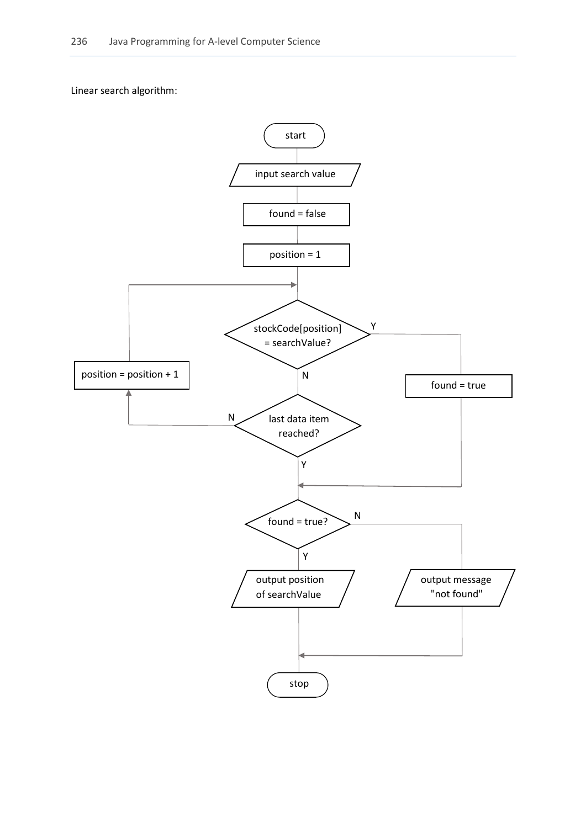Linear search algorithm:

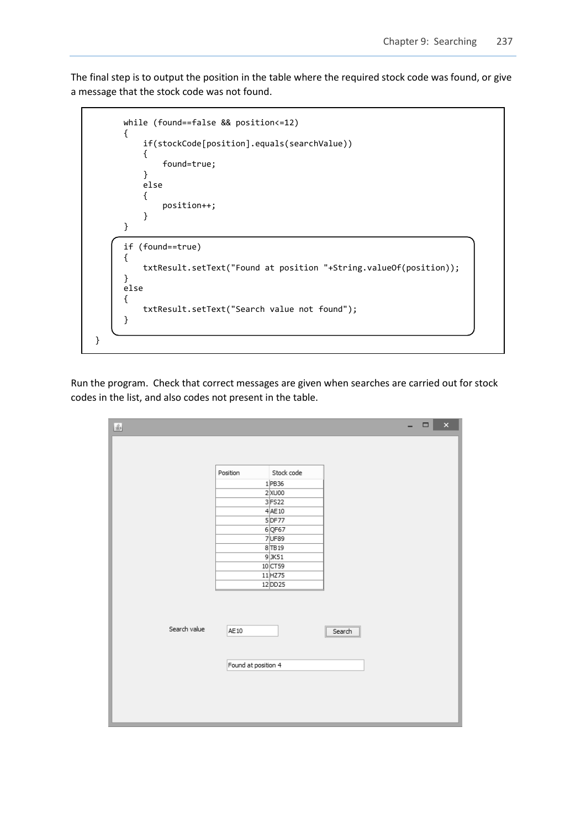The final step is to output the position in the table where the required stock code was found, or give a message that the stock code was not found.



Run the program. Check that correct messages are given when searches are carried out for stock codes in the list, and also codes not present in the table.

| $\underline{\underline{\mathscr{L}}}_2$ |                     |                       |                                                                                          | $\Box$ | $\pmb{\times}$ |
|-----------------------------------------|---------------------|-----------------------|------------------------------------------------------------------------------------------|--------|----------------|
|                                         |                     |                       |                                                                                          |        |                |
|                                         |                     |                       |                                                                                          |        |                |
|                                         | Position            | Stock code            |                                                                                          |        |                |
|                                         |                     | $1$ PB36<br>$2$ XU00  |                                                                                          |        |                |
|                                         |                     | 3FS22                 |                                                                                          |        |                |
|                                         |                     | $4$ AE10              |                                                                                          |        |                |
|                                         |                     | $5$ DF77<br>$6$ QF67  |                                                                                          |        |                |
|                                         |                     | 7UF89                 |                                                                                          |        |                |
|                                         |                     | 8 TB 19<br>$9$ JK51   |                                                                                          |        |                |
|                                         |                     | 10 CT59               |                                                                                          |        |                |
|                                         |                     | $11$ HZ75<br>12 DD 25 |                                                                                          |        |                |
|                                         |                     |                       |                                                                                          |        |                |
|                                         |                     |                       |                                                                                          |        |                |
|                                         |                     |                       |                                                                                          |        |                |
| Search value                            | AE10                |                       | $\fbox{\parbox{1.5cm} {\begin{tabular}{ c c } \hline & Search \\\hline \end{tabular}}}}$ |        |                |
|                                         |                     |                       |                                                                                          |        |                |
|                                         | Found at position 4 |                       |                                                                                          |        |                |
|                                         |                     |                       |                                                                                          |        |                |
|                                         |                     |                       |                                                                                          |        |                |
|                                         |                     |                       |                                                                                          |        |                |
|                                         |                     |                       |                                                                                          |        |                |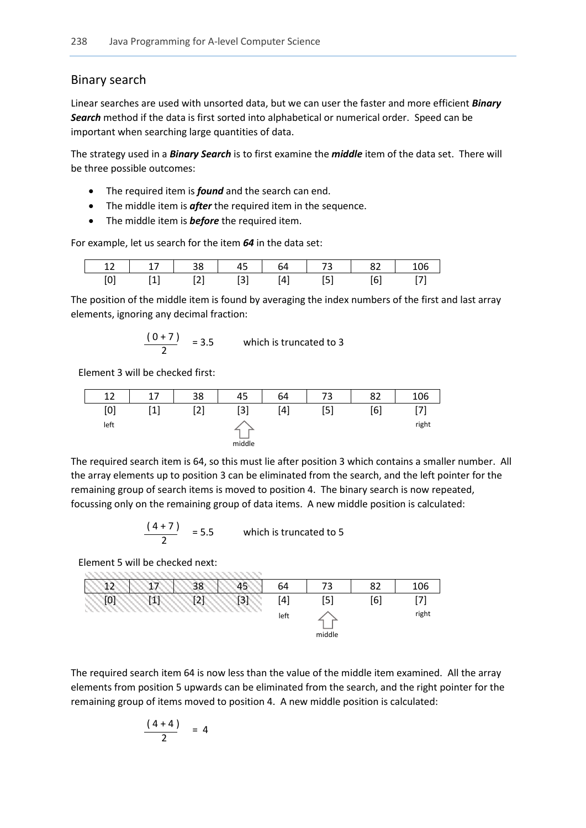# Binary search

Linear searches are used with unsorted data, but we can user the faster and more efficient *Binary Search* method if the data is first sorted into alphabetical or numerical order. Speed can be important when searching large quantities of data.

The strategy used in a *Binary Search* is to first examine the *middle* item of the data set. There will be three possible outcomes:

- The required item is *found* and the search can end.
- The middle item is **after** the required item in the sequence.
- The middle item is **before** the required item.

For example, let us search for the item *64* in the data set:

| 12 | $-17$<br>- - | $\sim$ 38 | 45 | 64 | - 73 | - 82 |  |
|----|--------------|-----------|----|----|------|------|--|
|    |              |           |    |    |      |      |  |

The position of the middle item is found by averaging the index numbers of the first and last array elements, ignoring any decimal fraction:

$$
\frac{(0+7)}{2} = 3.5
$$
 which is truncated to 3

Element 3 will be checked first:

| 12   | 17  | 38  | 45     | 64  | 72<br>د | 82  | 106   |
|------|-----|-----|--------|-----|---------|-----|-------|
| [0]  | 541 | [2] | $[3]$  | [4] | [5]     | [6] | [7]   |
| left |     |     |        |     |         |     | right |
|      |     |     | middle |     |         |     |       |

The required search item is 64, so this must lie after position 3 which contains a smaller number. All the array elements up to position 3 can be eliminated from the search, and the left pointer for the remaining group of search items is moved to position 4. The binary search is now repeated, focussing only on the remaining group of data items. A new middle position is calculated:

$$
\frac{(4+7)}{2} = 5.5
$$
 which is truncated to 5

Element 5 will be checked next:

| ◠ | 20 | 5 | 64       | 73     | 82  | 106   |
|---|----|---|----------|--------|-----|-------|
|   | ิว | ◠ | $^{[4]}$ | [5]    | [6] | ורו   |
|   |    |   | left     |        |     | right |
|   |    |   |          | middle |     |       |

The required search item 64 is now less than the value of the middle item examined. All the array elements from position 5 upwards can be eliminated from the search, and the right pointer for the remaining group of items moved to position 4. A new middle position is calculated:

$$
\frac{(4+4)}{2} = 4
$$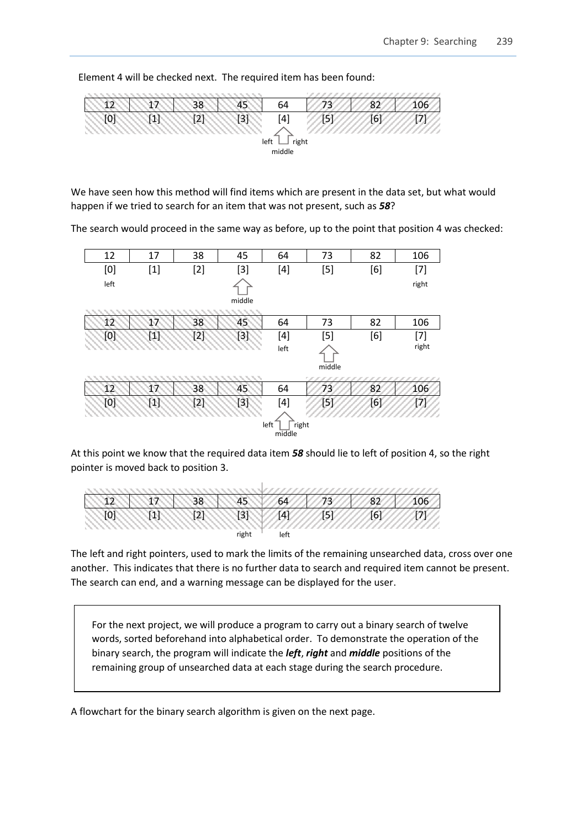Element 4 will be checked next. The required item has been found:



We have seen how this method will find items which are present in the data set, but what would happen if we tried to search for an item that was not present, such as *58*?

The search would proceed in the same way as before, up to the point that position 4 was checked:



At this point we know that the required data item *58* should lie to left of position 4, so the right pointer is moved back to position 3.



The left and right pointers, used to mark the limits of the remaining unsearched data, cross over one another. This indicates that there is no further data to search and required item cannot be present. The search can end, and a warning message can be displayed for the user.

For the next project, we will produce a program to carry out a binary search of twelve words, sorted beforehand into alphabetical order. To demonstrate the operation of the binary search, the program will indicate the *left*, *right* and *middle* positions of the remaining group of unsearched data at each stage during the search procedure.

A flowchart for the binary search algorithm is given on the next page.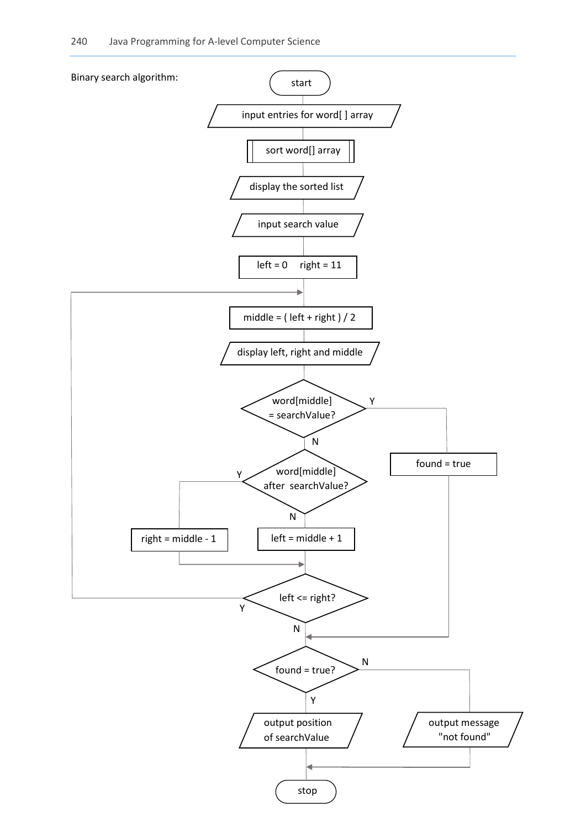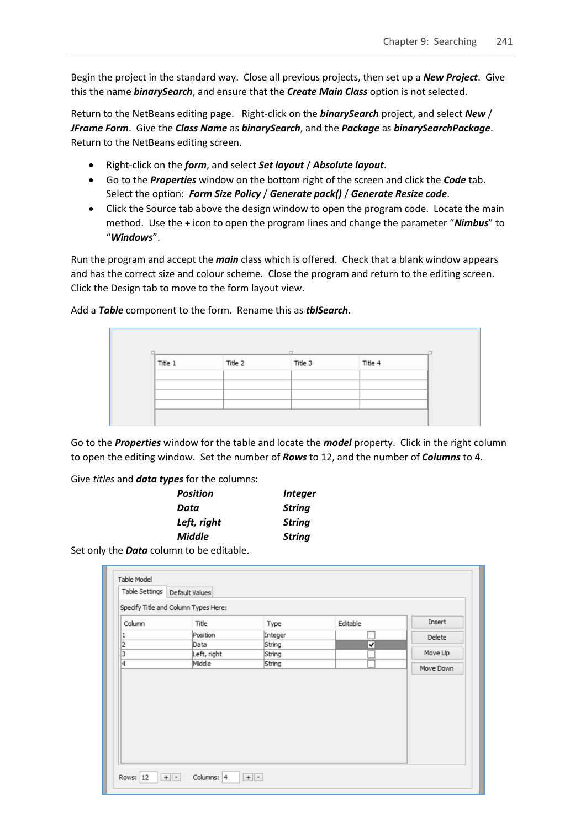Begin the project in the standard way. Close all previous projects, then set up a *New Project*. Give this the name *binarySearch*, and ensure that the *Create Main Class* option is not selected.

Return to the NetBeans editing page. Right-click on the *binarySearch* project, and select *New* / *JFrame Form*. Give the *Class Name* as *binarySearch*, and the *Package* as *binarySearchPackage*. Return to the NetBeans editing screen.

- Right-click on the *form*, and select *Set layout* / *Absolute layout*.
- Go to the *Properties* window on the bottom right of the screen and click the *Code* tab. Select the option: *Form Size Policy* / *Generate pack()* / *Generate Resize code*.
- Click the Source tab above the design window to open the program code. Locate the main method. Use the + icon to open the program lines and change the parameter "*Nimbus*" to "*Windows*".

Run the program and accept the *main* class which is offered. Check that a blank window appears and has the correct size and colour scheme. Close the program and return to the editing screen. Click the Design tab to move to the form layout view.

| Title 1 | Title 2 | Title 3 | Title 4 |  |
|---------|---------|---------|---------|--|
|         |         |         |         |  |
|         |         |         |         |  |
|         |         |         |         |  |
|         |         |         |         |  |

Add a *Table* component to the form. Rename this as *tblSearch*.

Go to the *Properties* window for the table and locate the *model* property. Click in the right column to open the editing window. Set the number of *Rows* to 12, and the number of *Columns* to 4.

Give *titles* and *data types* for the columns:

| <b>Position</b> | <b>Integer</b> |
|-----------------|----------------|
| Data            | <b>String</b>  |
| Left, right     | <b>String</b>  |
| <b>Middle</b>   | <b>String</b>  |
|                 |                |

Set only the *Data* column to be editable.

| Table Settings | Default Values                       |         |          |           |
|----------------|--------------------------------------|---------|----------|-----------|
|                | Specify Title and Column Types Here: |         |          |           |
| Column         | Title                                | Type    | Editable | Insert    |
| 1              | Position                             | Integer |          | Delete    |
| $\overline{2}$ | Data                                 | String  | ▿        |           |
| 3              | Left, right                          | String  |          | Move Up   |
| 4              | Middle                               | String  |          | Move Down |
|                |                                      |         |          |           |
|                |                                      |         |          |           |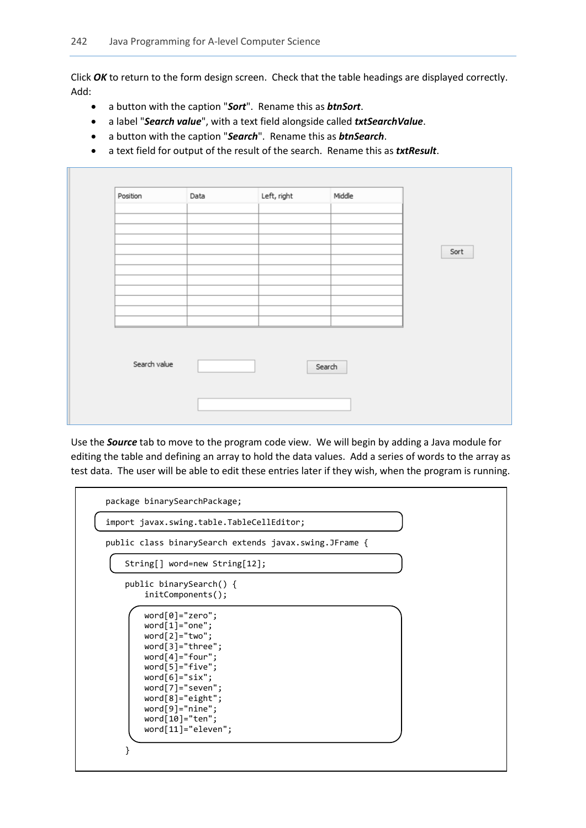Click *OK* to return to the form design screen. Check that the table headings are displayed correctly. Add:

- a button with the caption "*Sort*". Rename this as *btnSort*.
- a label "*Search value*", with a text field alongside called *txtSearchValue*.
- a button with the caption "*Search*". Rename this as *btnSearch*.
- a text field for output of the result of the search. Rename this as *txtResult*.

| Position     | Data | Left, right | Middle |      |
|--------------|------|-------------|--------|------|
|              |      |             |        |      |
|              |      |             |        |      |
|              |      |             |        |      |
|              |      |             |        | Sort |
|              |      |             |        |      |
|              |      |             |        |      |
|              |      |             |        |      |
|              |      |             |        |      |
|              |      |             |        |      |
| Search value |      | Search      |        |      |
|              |      |             |        |      |
|              |      |             |        |      |
|              |      |             |        |      |

Use the *Source* tab to move to the program code view. We will begin by adding a Java module for editing the table and defining an array to hold the data values. Add a series of words to the array as test data. The user will be able to edit these entries later if they wish, when the program is running.

| import javax.swing.table.TableCellEditor;<br>public class binarySearch extends javax.swing.JFrame {<br>String[] word=new String[12];<br>public binarySearch() {                                                                                                                          |
|------------------------------------------------------------------------------------------------------------------------------------------------------------------------------------------------------------------------------------------------------------------------------------------|
|                                                                                                                                                                                                                                                                                          |
|                                                                                                                                                                                                                                                                                          |
|                                                                                                                                                                                                                                                                                          |
| $initComponents()$ ;                                                                                                                                                                                                                                                                     |
| $word[0] = "zero";$<br>$word[1] = "one";$<br>$word[2] = "two";$<br>$word[3] = "three";$<br>$word[4] = "four";$<br>$word[5] = "five";$<br>$word[6] = "six";$<br>$word[7] = "seven";$<br>$word[8] = "eight";$<br>$word[9] = "nine";$<br>$word[10] = "ten";$<br>$word[11] = "eleven";$<br>} |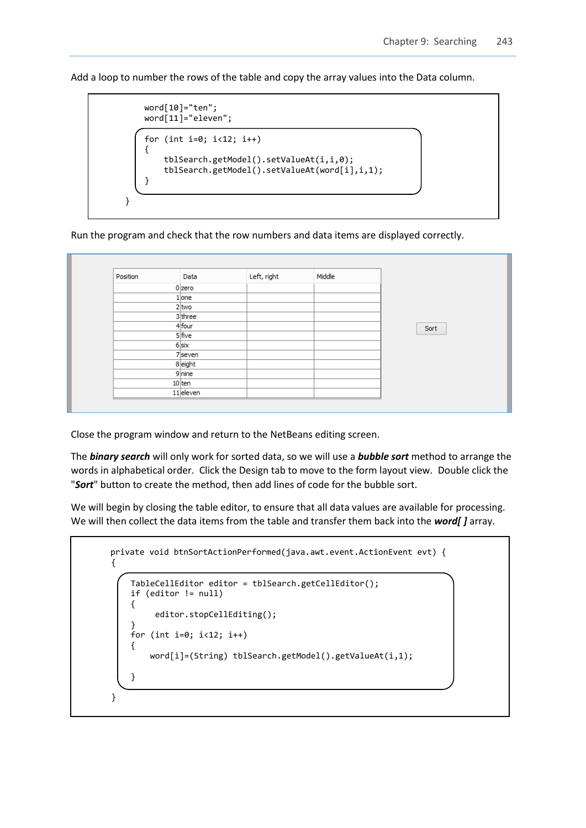Add a loop to number the rows of the table and copy the array values into the Data column.

```
 word[10]="ten";
     word[11]="eleven"; 
    for (int i=0; i<12; i++) {
         tblSearch.getModel().setValueAt(i,i,0);
         tblSearch.getModel().setValueAt(word[i],i,1); 
     } 
 }
```
Run the program and check that the row numbers and data items are displayed correctly.

| Position | Data      | Left, right | Middle |      |
|----------|-----------|-------------|--------|------|
|          | $0$ zero  |             |        |      |
|          | $1$ one   |             |        |      |
|          | $2 $ two  |             |        |      |
|          | 3 three   |             |        |      |
|          | 4 four    |             |        | Sort |
|          | $5$ five  |             |        |      |
|          | $6$ six   |             |        |      |
|          | 7seven    |             |        |      |
|          | 8 eight   |             |        |      |
|          | 9 nine    |             |        |      |
|          | $10$ ten  |             |        |      |
|          | 11 eleven |             |        |      |

Close the program window and return to the NetBeans editing screen.

The *binary search* will only work for sorted data, so we will use a *bubble sort* method to arrange the words in alphabetical order. Click the Design tab to move to the form layout view. Double click the "*Sort*" button to create the method, then add lines of code for the bubble sort.

We will begin by closing the table editor, to ensure that all data values are available for processing. We will then collect the data items from the table and transfer them back into the *word[ ]* array.

```
private void btnSortActionPerformed(java.awt.event.ActionEvent evt) { 
    {
         TableCellEditor editor = tblSearch.getCellEditor();
         if (editor != null) 
         {
              editor.stopCellEditing();
 } 
       for (int i=0; i<12; i++)
\vert {
            word[i]=(String) tblSearch.getModel().getValueAt(i,1);
         } 
    }
```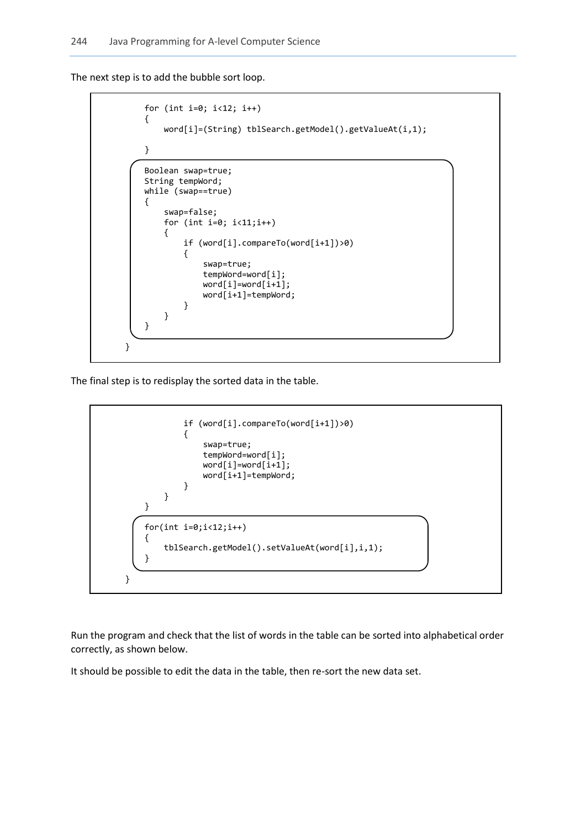The next step is to add the bubble sort loop.

```
 for (int i=0; i<12; i++)
          {
                word[i]=(String) tblSearch.getModel().getValueAt(i,1);
          } 
          Boolean swap=true;
          String tempWord;
          while (swap==true)
          {
                swap=false;
                for (int i=0; i<11;i++)
                { 
                     if (word[i].compareTo(word[i+1])>0)
\begin{array}{ccc} & & & \\ \hline & & & \end{array} swap=true;
                         tempWord=word[i];
                         word[i] = word[i+1];word[i+1]=tempWord;<br>}
\begin{array}{ccc} & & & \\ & & & \end{array} }
          } 
     }
```
The final step is to redisplay the sorted data in the table.



Run the program and check that the list of words in the table can be sorted into alphabetical order correctly, as shown below.

It should be possible to edit the data in the table, then re-sort the new data set.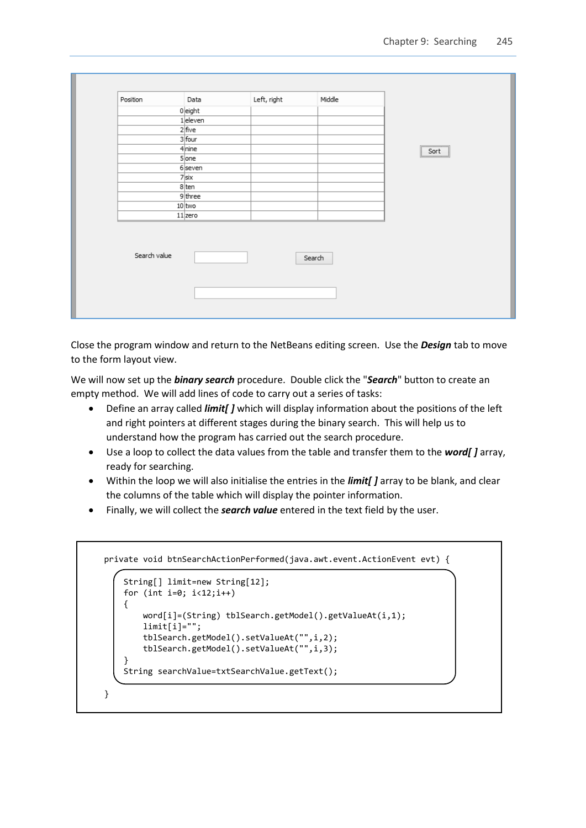| Position     | Data      | Left, right | Middle |      |
|--------------|-----------|-------------|--------|------|
|              | $0$ eight |             |        |      |
|              | 1 eleven  |             |        |      |
|              | $2$ five  |             |        |      |
|              | 3 four    |             |        |      |
|              | 4 nine    |             |        | Sort |
|              | $5$ one   |             |        |      |
|              | $6$ seven |             |        |      |
|              | $7$ six   |             |        |      |
|              | 8 ten     |             |        |      |
|              | 9 three   |             |        |      |
|              | 10 two    |             |        |      |
|              | $11$ zero |             |        |      |
| Search value |           |             | Search |      |
|              |           |             |        |      |

Close the program window and return to the NetBeans editing screen. Use the *Design* tab to move to the form layout view.

We will now set up the *binary search* procedure. Double click the "*Search*" button to create an empty method. We will add lines of code to carry out a series of tasks:

- Define an array called *limit[ ]* which will display information about the positions of the left and right pointers at different stages during the binary search. This will help us to understand how the program has carried out the search procedure.
- Use a loop to collect the data values from the table and transfer them to the *word[ ]* array, ready for searching.
- Within the loop we will also initialise the entries in the *limit[ ]* array to be blank, and clear the columns of the table which will display the pointer information.
- Finally, we will collect the *search value* entered in the text field by the user.

```
 private void btnSearchActionPerformed(java.awt.event.ActionEvent evt) {
```

```
 String[] limit=new String[12]; 
        for (int i=0; i<12;i++) {
             word[i]=(String) tblSearch.getModel().getValueAt(i,1); 
            limit[i]=""; tblSearch.getModel().setValueAt("",i,2); 
             tblSearch.getModel().setValueAt("",i,3);
\vert \vert \vert String searchValue=txtSearchValue.getText();
```

```
 }
```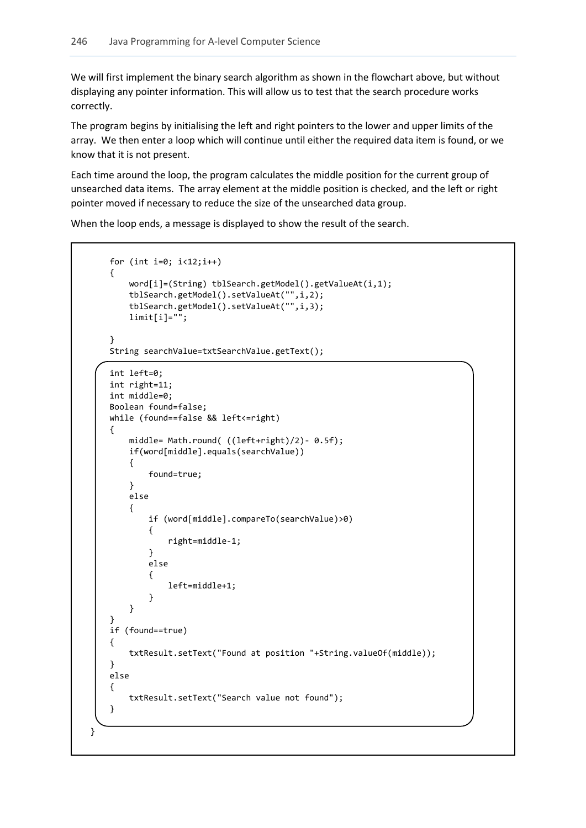L

We will first implement the binary search algorithm as shown in the flowchart above, but without displaying any pointer information. This will allow us to test that the search procedure works correctly.

The program begins by initialising the left and right pointers to the lower and upper limits of the array. We then enter a loop which will continue until either the required data item is found, or we know that it is not present.

Each time around the loop, the program calculates the middle position for the current group of unsearched data items. The array element at the middle position is checked, and the left or right pointer moved if necessary to reduce the size of the unsearched data group.

When the loop ends, a message is displayed to show the result of the search.

```
for (int i=0; i < 12; i++) {
                  word[i]=(String) tblSearch.getModel().getValueAt(i,1); 
                  tblSearch.getModel().setValueAt("",i,2); 
                  tblSearch.getModel().setValueAt("",i,3);
                  limit[i]="";
            }
            String searchValue=txtSearchValue.getText();
            int left=0;
            int right=11;
            int middle=0; 
            Boolean found=false;
            while (found==false && left<=right)
            {
                  middle= Math.round( ((left+right)/2)- 0.5f);
                  if(word[middle].equals(searchValue))
 {
                         found=true;
 }
                  else
 {
                         if (word[middle].compareTo(searchValue)>0)
\begin{array}{ccc} \begin{array}{ccc} \end{array} & \begin{array}{ccc} \end{array} & \begin{array}{ccc} \end{array} & \begin{array}{ccc} \end{array} \end{array} right=middle-1;
\begin{array}{ccc} \vert & \vert & \vert & \vert & \vert \end{array} else
\begin{array}{ccc} \begin{array}{ccc} \end{array} & \begin{array}{ccc} \end{array} & \begin{array}{ccc} \end{array} & \begin{array}{ccc} \end{array} \end{array} left=middle+1;
\begin{array}{ccc} \vert & \vert & \vert & \vert & \vert \end{array} }
            }
            if (found==true)
            {
                  txtResult.setText("Found at position "+String.valueOf(middle));
            }
            else
            {
                  txtResult.setText("Search value not found");
            }
      }
```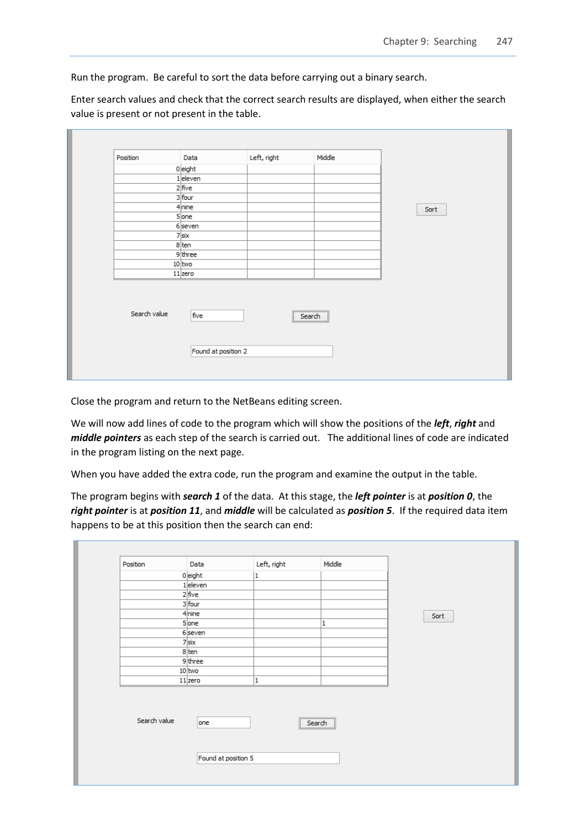Run the program. Be careful to sort the data before carrying out a binary search.

Enter search values and check that the correct search results are displayed, when either the search value is present or not present in the table.

| Position     | Data                  | Left, right                             | Middle |      |
|--------------|-----------------------|-----------------------------------------|--------|------|
|              | $0$ eight             |                                         |        |      |
|              | 1 eleven              |                                         |        |      |
|              | $2$ five              |                                         |        |      |
|              | 3 four                |                                         |        |      |
|              | $4$ <sub>nine</sub>   |                                         |        | Sort |
|              | $5$ one               |                                         |        |      |
|              | 6 seven               |                                         |        |      |
|              | $7$ six               |                                         |        |      |
|              | 8 ten                 |                                         |        |      |
|              | 9three                |                                         |        |      |
|              | $10$ two<br>$11$ zero |                                         |        |      |
|              |                       |                                         |        |      |
| Search value | five                  | $\sqrt{\frac{1}{2}$ Search<br><u> :</u> |        |      |
|              | Found at position 2   |                                         |        |      |

Close the program and return to the NetBeans editing screen.

We will now add lines of code to the program which will show the positions of the *left*, *right* and *middle pointers* as each step of the search is carried out. The additional lines of code are indicated in the program listing on the next page.

When you have added the extra code, run the program and examine the output in the table.

The program begins with *search 1* of the data. At this stage, the *left pointer* is at *position 0*, the *right pointer* is at *position 11*, and *middle* will be calculated as *position 5*. If the required data item happens to be at this position then the search can end:

| Position     | Data                  | Left, right | Middle                                     |      |
|--------------|-----------------------|-------------|--------------------------------------------|------|
|              | $0$ eight             | 1           |                                            |      |
|              | 1 eleven              |             |                                            |      |
|              | $2$ five              |             |                                            |      |
|              | 3 four                |             |                                            |      |
|              | 4 <sub>nine</sub>     |             |                                            | Sort |
|              | 5 one                 |             | 1                                          |      |
|              | $6$ seven             |             |                                            |      |
|              | $7$ six               |             |                                            |      |
|              | 8 ten                 |             |                                            |      |
|              | 9three                |             |                                            |      |
|              | $10$ two<br>$11$ zero | 1           |                                            |      |
|              |                       |             |                                            |      |
| Search value | one                   |             | $F_{\text{Search}}$<br>Search<br><u> :</u> |      |
|              | Found at position 5   |             |                                            |      |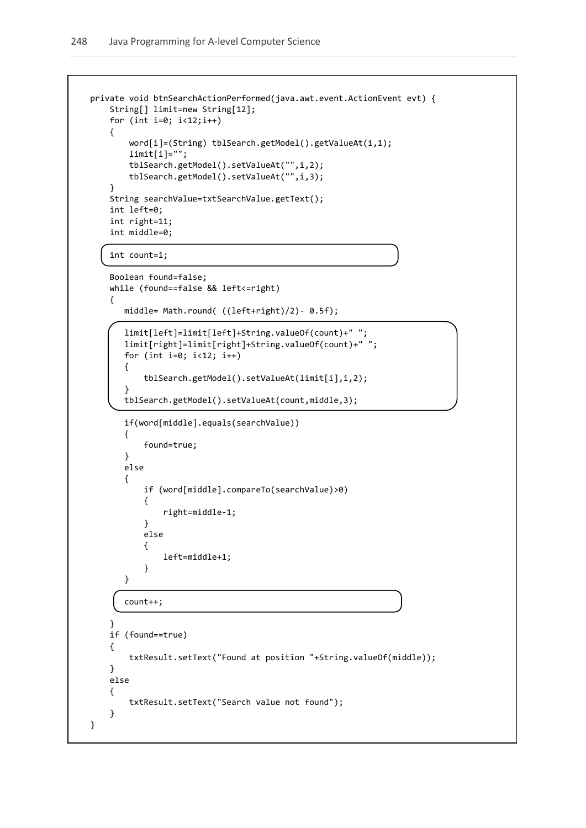1

```
 private void btnSearchActionPerformed(java.awt.event.ActionEvent evt) { 
        String[] limit=new String[12]; 
       for (int i=0; i < 12; i++) {
            word[i]=(String) tblSearch.getModel().getValueAt(i,1); 
           limit[i]=";
            tblSearch.getModel().setValueAt("",i,2); 
            tblSearch.getModel().setValueAt("",i,3); 
        }
        String searchValue=txtSearchValue.getText();
        int left=0;
        int right=11;
        int middle=0;
        int count=1;
        Boolean found=false;
        while (found==false && left<=right)
        {
           middle= Math.round( ((left+right)/2)- 0.5f);
           limit[left]=limit[left]+String.valueOf(count)+" ";
           limit[right]=limit[right]+String.valueOf(count)+" ";
           for (int i=0; i<12; i++)
 {
               tblSearch.getModel().setValueAt(limit[i],i,2);
           } 
           tblSearch.getModel().setValueAt(count,middle,3);
           if(word[middle].equals(searchValue))
\{ found=true;
           }
           else
\{ if (word[middle].compareTo(searchValue)>0)
\{ right=middle-1;
 }
               else
\{ left=middle+1;
 }
           }
           count++;
 }
        if (found==true)
        {
            txtResult.setText("Found at position "+String.valueOf(middle));
        }
        else
        {
            txtResult.setText("Search value not found");
        }
    }
```